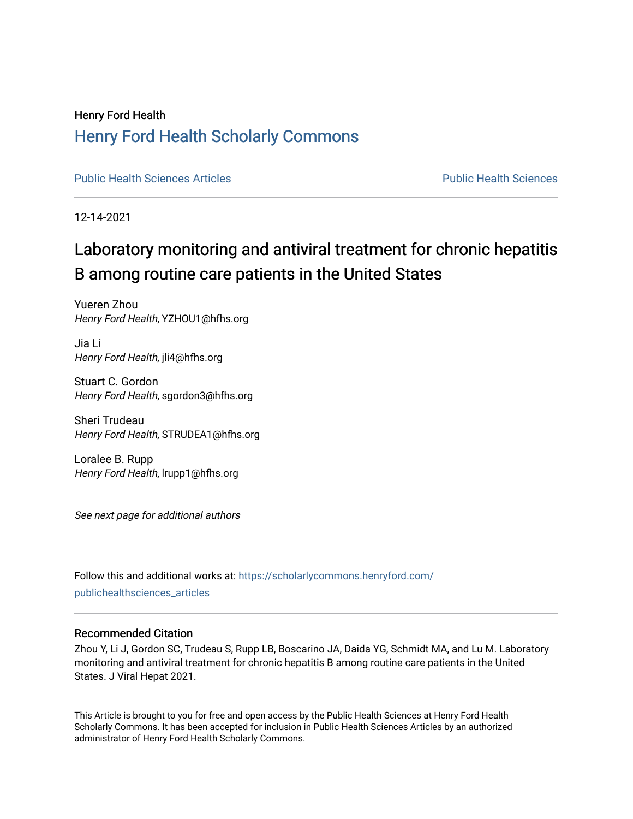# Henry Ford Health [Henry Ford Health Scholarly Commons](https://scholarlycommons.henryford.com/)

[Public Health Sciences Articles](https://scholarlycommons.henryford.com/publichealthsciences_articles) [Public Health Sciences](https://scholarlycommons.henryford.com/publichealthsciences) 

12-14-2021

# Laboratory monitoring and antiviral treatment for chronic hepatitis B among routine care patients in the United States

Yueren Zhou Henry Ford Health, YZHOU1@hfhs.org

Jia Li Henry Ford Health, jli4@hfhs.org

Stuart C. Gordon Henry Ford Health, sgordon3@hfhs.org

Sheri Trudeau Henry Ford Health, STRUDEA1@hfhs.org

Loralee B. Rupp Henry Ford Health, lrupp1@hfhs.org

See next page for additional authors

Follow this and additional works at: [https://scholarlycommons.henryford.com/](https://scholarlycommons.henryford.com/publichealthsciences_articles?utm_source=scholarlycommons.henryford.com%2Fpublichealthsciences_articles%2F297&utm_medium=PDF&utm_campaign=PDFCoverPages) [publichealthsciences\\_articles](https://scholarlycommons.henryford.com/publichealthsciences_articles?utm_source=scholarlycommons.henryford.com%2Fpublichealthsciences_articles%2F297&utm_medium=PDF&utm_campaign=PDFCoverPages) 

# Recommended Citation

Zhou Y, Li J, Gordon SC, Trudeau S, Rupp LB, Boscarino JA, Daida YG, Schmidt MA, and Lu M. Laboratory monitoring and antiviral treatment for chronic hepatitis B among routine care patients in the United States. J Viral Hepat 2021.

This Article is brought to you for free and open access by the Public Health Sciences at Henry Ford Health Scholarly Commons. It has been accepted for inclusion in Public Health Sciences Articles by an authorized administrator of Henry Ford Health Scholarly Commons.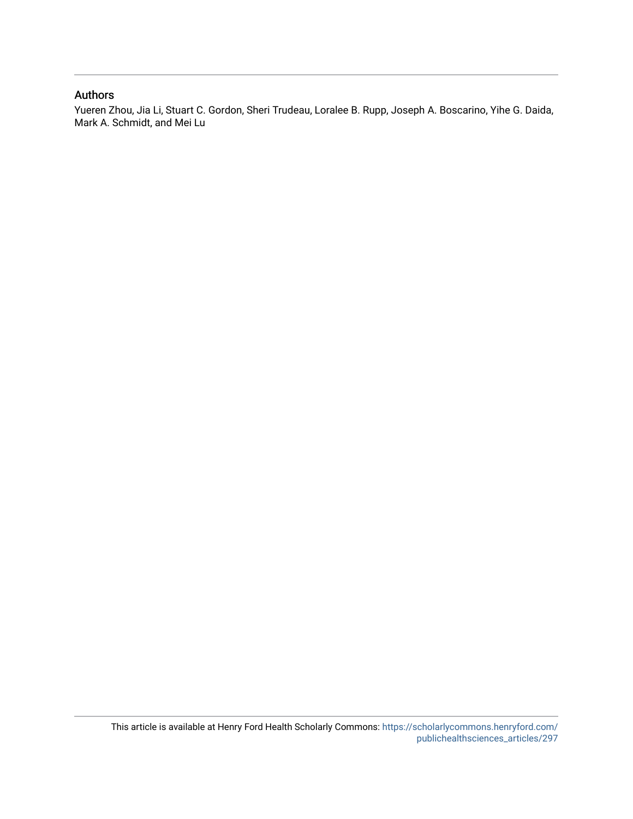# Authors

Yueren Zhou, Jia Li, Stuart C. Gordon, Sheri Trudeau, Loralee B. Rupp, Joseph A. Boscarino, Yihe G. Daida, Mark A. Schmidt, and Mei Lu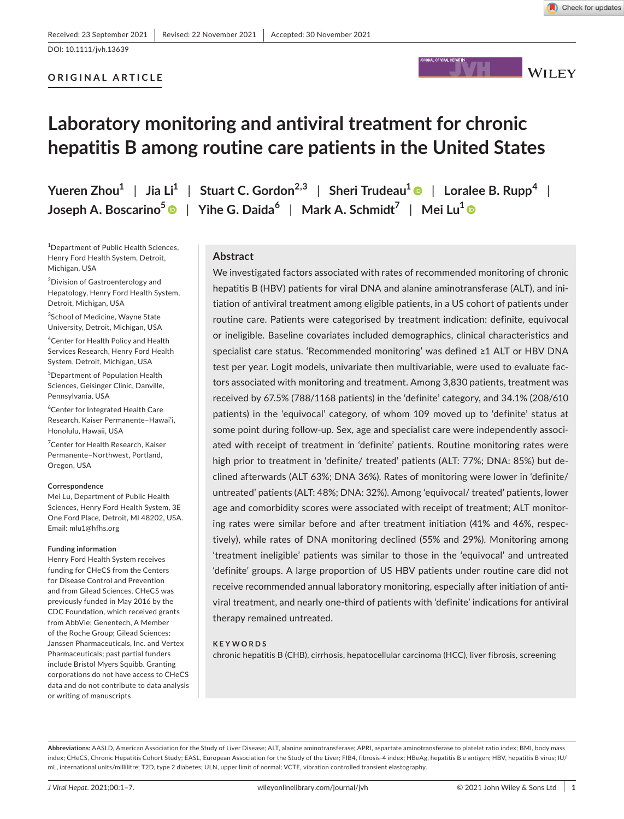# DOI: 10.1111/jvh.13639

# **ORIGINAL ARTICLE**



# **Laboratory monitoring and antiviral treatment for chronic hepatitis B among routine care patients in the United States**

**Yueren**  $\text{Zhou}^1$  | Jia  $\text{Li}^1$  | Stuart C. Gordon<sup>2,3</sup> | Sheri Trudeau<sup>1</sup> | Loralee B. Rupp<sup>4</sup> | **Joseph A. Boscarino[5](https://orcid.org/0000-0002-9965-6805)** | **Yihe G. Daida<sup>6</sup>** | **Mark A. Schmidt7** | **Mei Lu[1](https://orcid.org/0000-0002-3313-6428)**

1 Department of Public Health Sciences, Henry Ford Health System, Detroit, Michigan, USA

<sup>2</sup>Division of Gastroenterology and Hepatology, Henry Ford Health System, Detroit, Michigan, USA

3 School of Medicine, Wayne State University, Detroit, Michigan, USA

4 Center for Health Policy and Health Services Research, Henry Ford Health System, Detroit, Michigan, USA

5 Department of Population Health Sciences, Geisinger Clinic, Danville, Pennsylvania, USA

6 Center for Integrated Health Care Research, Kaiser Permanente–Hawai'i, Honolulu, Hawaii, USA

7 Center for Health Research, Kaiser Permanente–Northwest, Portland, Oregon, USA

#### **Correspondence**

Mei Lu, Department of Public Health Sciences, Henry Ford Health System, 3E One Ford Place, Detroit, MI 48202, USA. Email: [mlu1@hfhs.org](mailto:mlu1@hfhs.org)

#### **Funding information**

Henry Ford Health System receives funding for CHeCS from the Centers for Disease Control and Prevention and from Gilead Sciences. CHeCS was previously funded in May 2016 by the CDC Foundation, which received grants from AbbVie; Genentech, A Member of the Roche Group; Gilead Sciences; Janssen Pharmaceuticals, Inc. and Vertex Pharmaceuticals; past partial funders include Bristol Myers Squibb. Granting corporations do not have access to CHeCS data and do not contribute to data analysis or writing of manuscripts

# **Abstract**

We investigated factors associated with rates of recommended monitoring of chronic hepatitis B (HBV) patients for viral DNA and alanine aminotransferase (ALT), and initiation of antiviral treatment among eligible patients, in a US cohort of patients under routine care. Patients were categorised by treatment indication: definite, equivocal or ineligible. Baseline covariates included demographics, clinical characteristics and specialist care status. 'Recommended monitoring' was defined ≥1 ALT or HBV DNA test per year. Logit models, univariate then multivariable, were used to evaluate factors associated with monitoring and treatment. Among 3,830 patients, treatment was received by 67.5% (788/1168 patients) in the 'definite' category, and 34.1% (208/610 patients) in the 'equivocal' category, of whom 109 moved up to 'definite' status at some point during follow-up. Sex, age and specialist care were independently associated with receipt of treatment in 'definite' patients. Routine monitoring rates were high prior to treatment in 'definite/ treated' patients (ALT: 77%; DNA: 85%) but declined afterwards (ALT 63%; DNA 36%). Rates of monitoring were lower in 'definite/ untreated' patients (ALT: 48%; DNA: 32%). Among 'equivocal/ treated' patients, lower age and comorbidity scores were associated with receipt of treatment; ALT monitoring rates were similar before and after treatment initiation (41% and 46%, respectively), while rates of DNA monitoring declined (55% and 29%). Monitoring among 'treatment ineligible' patients was similar to those in the 'equivocal' and untreated 'definite' groups. A large proportion of US HBV patients under routine care did not receive recommended annual laboratory monitoring, especially after initiation of antiviral treatment, and nearly one-third of patients with 'definite' indications for antiviral therapy remained untreated.

#### **KEYWORDS**

chronic hepatitis B (CHB), cirrhosis, hepatocellular carcinoma (HCC), liver fibrosis, screening

Abbreviations: AASLD, American Association for the Study of Liver Disease: ALT, alanine aminotransferase; APRI, aspartate aminotransferase to platelet ratio index; BMI, body mass index; CHeCS, Chronic Hepatitis Cohort Study; EASL, European Association for the Study of the Liver; FIB4, fibrosis-4 index; HBeAg, hepatitis B e antigen; HBV, hepatitis B virus; IU/ mL, international units/millilitre; T2D, type 2 diabetes; ULN, upper limit of normal; VCTE, vibration controlled transient elastography.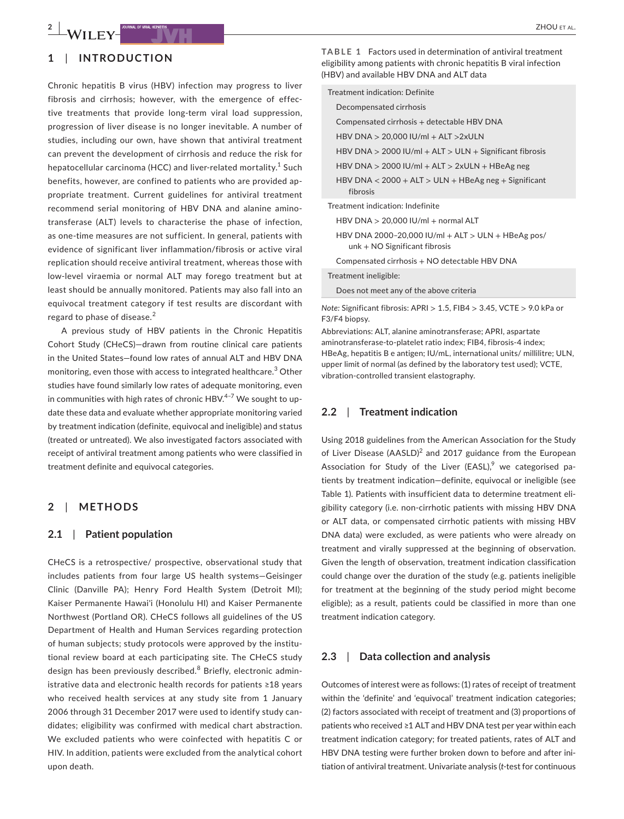### **1**  | **INTRODUCTION**

Chronic hepatitis B virus (HBV) infection may progress to liver fibrosis and cirrhosis; however, with the emergence of effective treatments that provide long-term viral load suppression, progression of liver disease is no longer inevitable. A number of studies, including our own, have shown that antiviral treatment can prevent the development of cirrhosis and reduce the risk for hepatocellular carcinoma (HCC) and liver-related mortality.<sup>1</sup> Such benefits, however, are confined to patients who are provided appropriate treatment. Current guidelines for antiviral treatment recommend serial monitoring of HBV DNA and alanine aminotransferase (ALT) levels to characterise the phase of infection, as one-time measures are not sufficient. In general, patients with evidence of significant liver inflammation/fibrosis or active viral replication should receive antiviral treatment, whereas those with low-level viraemia or normal ALT may forego treatment but at least should be annually monitored. Patients may also fall into an equivocal treatment category if test results are discordant with regard to phase of disease.<sup>2</sup>

A previous study of HBV patients in the Chronic Hepatitis Cohort Study (CHeCS)—drawn from routine clinical care patients in the United States—found low rates of annual ALT and HBV DNA monitoring, even those with access to integrated healthcare.<sup>3</sup> Other studies have found similarly low rates of adequate monitoring, even in communities with high rates of chronic  $HBV.<sup>4-7</sup>$  We sought to update these data and evaluate whether appropriate monitoring varied by treatment indication (definite, equivocal and ineligible) and status (treated or untreated). We also investigated factors associated with receipt of antiviral treatment among patients who were classified in treatment definite and equivocal categories.

#### **2**  | **METHODS**

#### **2.1**  | **Patient population**

CHeCS is a retrospective/ prospective, observational study that includes patients from four large US health systems—Geisinger Clinic (Danville PA); Henry Ford Health System (Detroit MI); Kaiser Permanente Hawai'i (Honolulu HI) and Kaiser Permanente Northwest (Portland OR). CHeCS follows all guidelines of the US Department of Health and Human Services regarding protection of human subjects; study protocols were approved by the institutional review board at each participating site. The CHeCS study design has been previously described.<sup>8</sup> Briefly, electronic administrative data and electronic health records for patients ≥18 years who received health services at any study site from 1 January 2006 through 31 December 2017 were used to identify study candidates; eligibility was confirmed with medical chart abstraction. We excluded patients who were coinfected with hepatitis C or HIV. In addition, patients were excluded from the analytical cohort upon death.

**TABLE 1** Factors used in determination of antiviral treatment eligibility among patients with chronic hepatitis B viral infection (HBV) and available HBV DNA and ALT data

| Treatment indication: Definite                                                        |
|---------------------------------------------------------------------------------------|
| Decompensated cirrhosis                                                               |
| Compensated cirrhosis + detectable HBV DNA                                            |
| HBV DNA $> 20.000$ IU/ml + ALT $>2x$ ULN                                              |
| HBV DNA $>$ 2000 IU/ml + ALT $>$ ULN + Significant fibrosis                           |
| HBV DNA $>$ 2000 IU/ml + ALT $>$ 2xULN + HBeAg neg                                    |
| HBV DNA $<$ 2000 + ALT $>$ ULN + HBeAg neg + Significant<br>fibrosis                  |
| Treatment indication: Indefinite                                                      |
| HBV DNA > 20,000 IU/ml + normal ALT                                                   |
| HBV DNA 2000-20,000 IU/ml + ALT > ULN + HBeAg pos/<br>$unk + NO$ Significant fibrosis |

Compensated cirrhosis + NO detectable HBV DNA

Treatment ineligible:

Does not meet any of the above criteria

*Note:* Significant fibrosis: APRI > 1.5, FIB4 > 3.45, VCTE > 9.0 kPa or F3/F4 biopsy.

Abbreviations: ALT, alanine aminotransferase; APRI, aspartate aminotransferase-to-platelet ratio index; FIB4, fibrosis-4 index; HBeAg, hepatitis B e antigen; IU/mL, international units/ millilitre; ULN, upper limit of normal (as defined by the laboratory test used); VCTE, vibration-controlled transient elastography.

#### **2.2**  | **Treatment indication**

Using 2018 guidelines from the American Association for the Study of Liver Disease (AASLD)<sup>2</sup> and 2017 guidance from the European Association for Study of the Liver (EASL),<sup>9</sup> we categorised patients by treatment indication—definite, equivocal or ineligible (see Table 1). Patients with insufficient data to determine treatment eligibility category (i.e. non-cirrhotic patients with missing HBV DNA or ALT data, or compensated cirrhotic patients with missing HBV DNA data) were excluded, as were patients who were already on treatment and virally suppressed at the beginning of observation. Given the length of observation, treatment indication classification could change over the duration of the study (e.g. patients ineligible for treatment at the beginning of the study period might become eligible); as a result, patients could be classified in more than one treatment indication category.

#### **2.3**  | **Data collection and analysis**

Outcomes of interest were as follows: (1) rates of receipt of treatment within the 'definite' and 'equivocal' treatment indication categories; (2) factors associated with receipt of treatment and (3) proportions of patients who received ≥1 ALT and HBV DNA test per year within each treatment indication category; for treated patients, rates of ALT and HBV DNA testing were further broken down to before and after initiation of antiviral treatment. Univariate analysis (*t*-test for continuous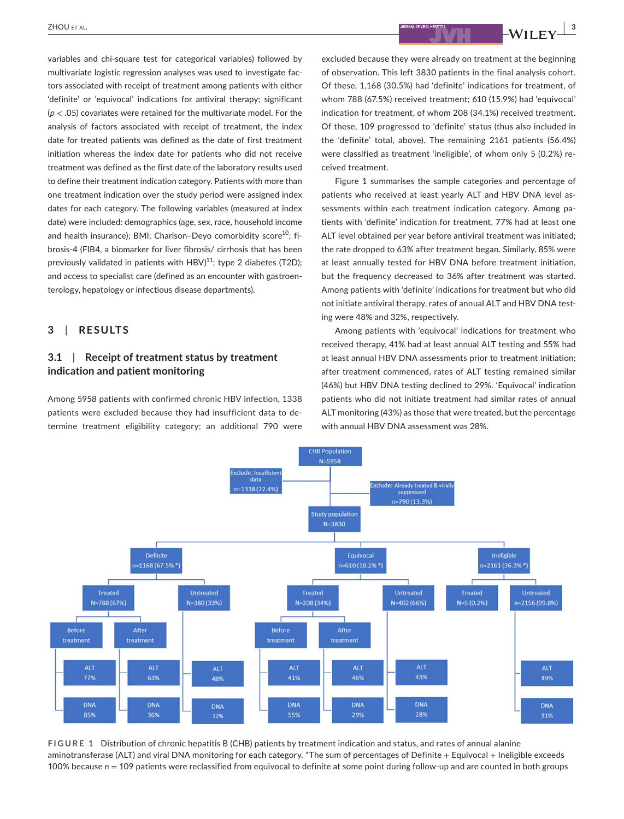**a**  $\frac{1}{2}$   $\frac{1}{2}$   $\frac{1}{2}$   $\frac{1}{2}$   $\frac{1}{2}$   $\frac{1}{2}$   $\frac{1}{2}$   $\frac{1}{2}$   $\frac{1}{2}$   $\frac{1}{2}$   $\frac{1}{2}$   $\frac{1}{2}$   $\frac{1}{2}$   $\frac{1}{2}$   $\frac{1}{2}$   $\frac{1}{2}$   $\frac{1}{2}$   $\frac{1}{2}$   $\frac{1}{2}$   $\frac{1}{2}$   $\frac{1}{2}$   $\frac{1}{$ 

variables and chi-square test for categorical variables) followed by multivariate logistic regression analyses was used to investigate factors associated with receipt of treatment among patients with either 'definite' or 'equivocal' indications for antiviral therapy; significant (*p* < .05) covariates were retained for the multivariate model. For the analysis of factors associated with receipt of treatment, the index date for treated patients was defined as the date of first treatment initiation whereas the index date for patients who did not receive treatment was defined as the first date of the laboratory results used to define their treatment indication category. Patients with more than one treatment indication over the study period were assigned index dates for each category. The following variables (measured at index date) were included: demographics (age, sex, race, household income and health insurance); BMI; Charlson-Deyo comorbidity score<sup>10</sup>; fibrosis-4 (FIB4, a biomarker for liver fibrosis/ cirrhosis that has been previously validated in patients with HBV) $^{11}$ ; type 2 diabetes (T2D); and access to specialist care (defined as an encounter with gastroenterology, hepatology or infectious disease departments).

### **3**  | **RESULTS**

# **3.1**  | **Receipt of treatment status by treatment indication and patient monitoring**

Among 5958 patients with confirmed chronic HBV infection, 1338 patients were excluded because they had insufficient data to determine treatment eligibility category; an additional 790 were

excluded because they were already on treatment at the beginning of observation. This left 3830 patients in the final analysis cohort. Of these, 1,168 (30.5%) had 'definite' indications for treatment, of whom 788 (67.5%) received treatment; 610 (15.9%) had 'equivocal' indication for treatment, of whom 208 (34.1%) received treatment. Of these, 109 progressed to 'definite' status (thus also included in the 'definite' total, above). The remaining 2161 patients (56.4%) were classified as treatment 'ineligible', of whom only 5 (0.2%) received treatment.

Figure 1 summarises the sample categories and percentage of patients who received at least yearly ALT and HBV DNA level assessments within each treatment indication category. Among patients with 'definite' indication for treatment, 77% had at least one ALT level obtained per year before antiviral treatment was initiated; the rate dropped to 63% after treatment began. Similarly, 85% were at least annually tested for HBV DNA before treatment initiation, but the frequency decreased to 36% after treatment was started. Among patients with 'definite' indications for treatment but who did not initiate antiviral therapy, rates of annual ALT and HBV DNA testing were 48% and 32%, respectively.

Among patients with 'equivocal' indications for treatment who received therapy, 41% had at least annual ALT testing and 55% had at least annual HBV DNA assessments prior to treatment initiation; after treatment commenced, rates of ALT testing remained similar (46%) but HBV DNA testing declined to 29%. 'Equivocal' indication patients who did not initiate treatment had similar rates of annual ALT monitoring (43%) as those that were treated, but the percentage with annual HBV DNA assessment was 28%.



**FIGURE 1** Distribution of chronic hepatitis B (CHB) patients by treatment indication and status, and rates of annual alanine aminotransferase (ALT) and viral DNA monitoring for each category. \*The sum of percentages of Definite + Equivocal + Ineligible exceeds 100% because *n* = 109 patients were reclassified from equivocal to definite at some point during follow-up and are counted in both groups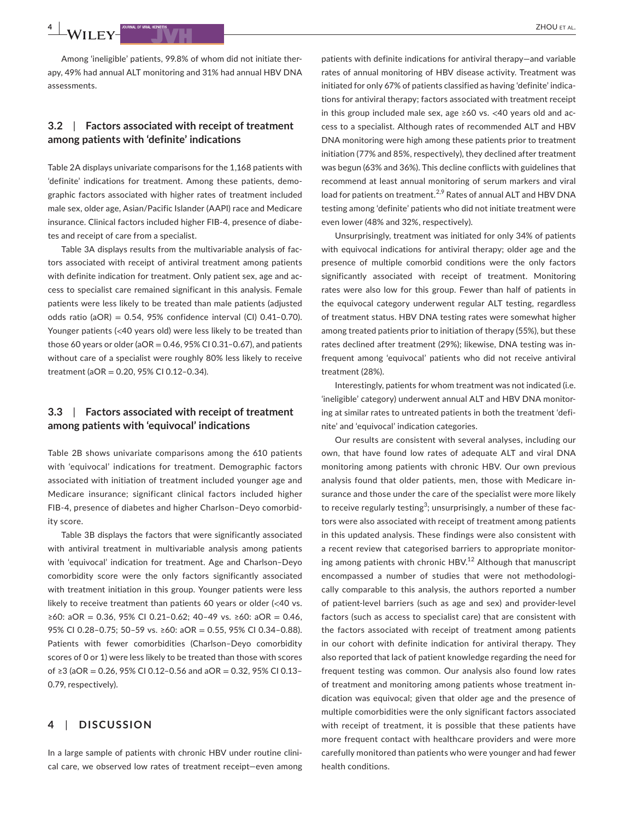**4 <sup>|</sup>**  ZHOU et al.

Among 'ineligible' patients, 99.8% of whom did not initiate therapy, 49% had annual ALT monitoring and 31% had annual HBV DNA assessments.

## **3.2**  | **Factors associated with receipt of treatment among patients with 'definite' indications**

Table 2A displays univariate comparisons for the 1,168 patients with 'definite' indications for treatment. Among these patients, demographic factors associated with higher rates of treatment included male sex, older age, Asian/Pacific Islander (AAPI) race and Medicare insurance. Clinical factors included higher FIB-4, presence of diabetes and receipt of care from a specialist.

Table 3A displays results from the multivariable analysis of factors associated with receipt of antiviral treatment among patients with definite indication for treatment. Only patient sex, age and access to specialist care remained significant in this analysis. Female patients were less likely to be treated than male patients (adjusted odds ratio (aOR) =  $0.54$ ,  $95%$  confidence interval (CI)  $0.41-0.70$ ). Younger patients (<40 years old) were less likely to be treated than those 60 years or older ( $aOR = 0.46$ , 95% CI 0.31-0.67), and patients without care of a specialist were roughly 80% less likely to receive treatment (aOR = 0.20, 95% CI 0.12–0.34).

## **3.3**  | **Factors associated with receipt of treatment among patients with 'equivocal' indications**

Table 2B shows univariate comparisons among the 610 patients with 'equivocal' indications for treatment. Demographic factors associated with initiation of treatment included younger age and Medicare insurance; significant clinical factors included higher FIB-4, presence of diabetes and higher Charlson–Deyo comorbidity score.

Table 3B displays the factors that were significantly associated with antiviral treatment in multivariable analysis among patients with 'equivocal' indication for treatment. Age and Charlson–Deyo comorbidity score were the only factors significantly associated with treatment initiation in this group. Younger patients were less likely to receive treatment than patients 60 years or older (<40 vs. ≥60: aOR = 0.36, 95% CI 0.21–0.62; 40–49 vs. ≥60: aOR = 0.46, 95% CI 0.28–0.75; 50–59 vs. ≥60: aOR = 0.55, 95% CI 0.34–0.88). Patients with fewer comorbidities (Charlson–Deyo comorbidity scores of 0 or 1) were less likely to be treated than those with scores of ≥3 (aOR = 0.26, 95% CI 0.12–0.56 and aOR = 0.32, 95% CI 0.13– 0.79, respectively).

### **4**  | **DISCUSSION**

In a large sample of patients with chronic HBV under routine clinical care, we observed low rates of treatment receipt—even among

patients with definite indications for antiviral therapy—and variable rates of annual monitoring of HBV disease activity. Treatment was initiated for only 67% of patients classified as having 'definite' indications for antiviral therapy; factors associated with treatment receipt in this group included male sex, age ≥60 vs. <40 years old and access to a specialist. Although rates of recommended ALT and HBV DNA monitoring were high among these patients prior to treatment initiation (77% and 85%, respectively), they declined after treatment was begun (63% and 36%). This decline conflicts with guidelines that recommend at least annual monitoring of serum markers and viral load for patients on treatment.<sup>2,9</sup> Rates of annual ALT and HBV DNA testing among 'definite' patients who did not initiate treatment were even lower (48% and 32%, respectively).

Unsurprisingly, treatment was initiated for only 34% of patients with equivocal indications for antiviral therapy; older age and the presence of multiple comorbid conditions were the only factors significantly associated with receipt of treatment. Monitoring rates were also low for this group. Fewer than half of patients in the equivocal category underwent regular ALT testing, regardless of treatment status. HBV DNA testing rates were somewhat higher among treated patients prior to initiation of therapy (55%), but these rates declined after treatment (29%); likewise, DNA testing was infrequent among 'equivocal' patients who did not receive antiviral treatment (28%).

Interestingly, patients for whom treatment was not indicated (i.e. 'ineligible' category) underwent annual ALT and HBV DNA monitoring at similar rates to untreated patients in both the treatment 'definite' and 'equivocal' indication categories.

Our results are consistent with several analyses, including our own, that have found low rates of adequate ALT and viral DNA monitoring among patients with chronic HBV. Our own previous analysis found that older patients, men, those with Medicare insurance and those under the care of the specialist were more likely to receive regularly testing $^3$ ; unsurprisingly, a number of these factors were also associated with receipt of treatment among patients in this updated analysis. These findings were also consistent with a recent review that categorised barriers to appropriate monitoring among patients with chronic HBV.<sup>12</sup> Although that manuscript encompassed a number of studies that were not methodologically comparable to this analysis, the authors reported a number of patient-level barriers (such as age and sex) and provider-level factors (such as access to specialist care) that are consistent with the factors associated with receipt of treatment among patients in our cohort with definite indication for antiviral therapy. They also reported that lack of patient knowledge regarding the need for frequent testing was common. Our analysis also found low rates of treatment and monitoring among patients whose treatment indication was equivocal; given that older age and the presence of multiple comorbidities were the only significant factors associated with receipt of treatment, it is possible that these patients have more frequent contact with healthcare providers and were more carefully monitored than patients who were younger and had fewer health conditions.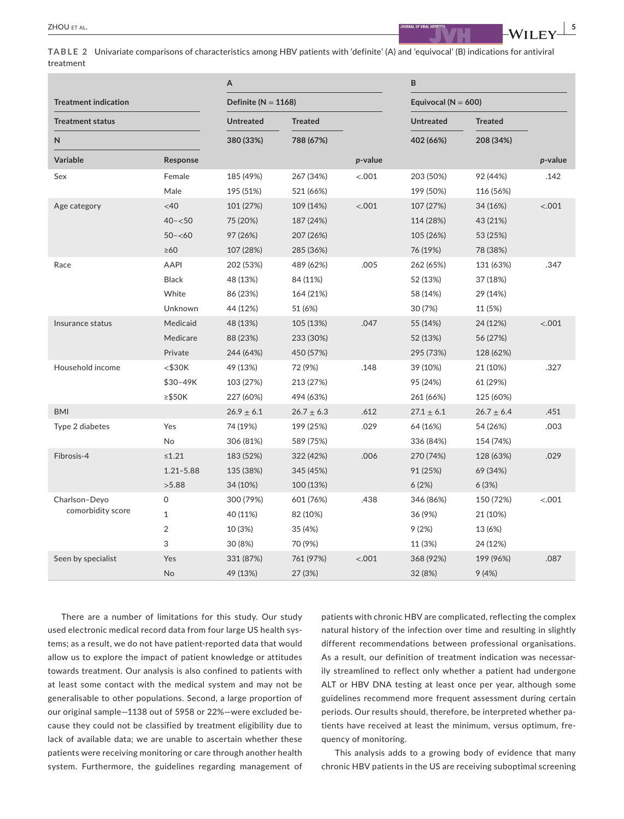**TABLE 2** Univariate comparisons of characteristics among HBV patients with 'definite' (A) and 'equivocal' (B) indications for antiviral treatment

|                             |               | A                       |                |         | B                       |                |            |  |
|-----------------------------|---------------|-------------------------|----------------|---------|-------------------------|----------------|------------|--|
| <b>Treatment indication</b> |               | Definite ( $N = 1168$ ) |                |         | Equivocal ( $N = 600$ ) |                |            |  |
| <b>Treatment status</b>     |               | <b>Untreated</b>        | <b>Treated</b> |         | <b>Untreated</b>        | <b>Treated</b> |            |  |
| N                           |               | 380 (33%)               | 788 (67%)      |         | 402 (66%)               | 208 (34%)      |            |  |
| <b>Variable</b>             | Response      |                         |                | p-value |                         |                | $p$ -value |  |
| Sex                         | Female        | 185 (49%)               | 267 (34%)      | < .001  | 203 (50%)               | 92 (44%)       | .142       |  |
|                             | Male          | 195 (51%)               | 521 (66%)      |         | 199 (50%)               | 116 (56%)      |            |  |
| Age category                | <40           | 101 (27%)               | 109 (14%)      | < .001  | 107 (27%)               | 34 (16%)       | < .001     |  |
|                             | $40 - 50$     | 75 (20%)                | 187 (24%)      |         | 114 (28%)               | 43 (21%)       |            |  |
|                             | $50 - 60$     | 97 (26%)                | 207 (26%)      |         | 105 (26%)               | 53 (25%)       |            |  |
|                             | $\geq 60$     | 107 (28%)               | 285 (36%)      |         | 76 (19%)                | 78 (38%)       |            |  |
| Race                        | AAPI          | 202 (53%)               | 489 (62%)      | .005    | 262 (65%)               | 131 (63%)      | .347       |  |
|                             | <b>Black</b>  | 48 (13%)                | 84 (11%)       |         | 52 (13%)                | 37 (18%)       |            |  |
|                             | White         | 86 (23%)                | 164 (21%)      |         | 58 (14%)                | 29 (14%)       |            |  |
|                             | Unknown       | 44 (12%)                | 51 (6%)        |         | 30 (7%)                 | 11 (5%)        |            |  |
| Insurance status            | Medicaid      | 48 (13%)                | 105 (13%)      | .047    | 55 (14%)                | 24 (12%)       | < .001     |  |
|                             | Medicare      | 88 (23%)                | 233 (30%)      |         | 52 (13%)                | 56 (27%)       |            |  |
|                             | Private       | 244 (64%)               | 450 (57%)      |         | 295 (73%)               | 128 (62%)      |            |  |
| Household income            | $<$ \$30 $K$  | 49 (13%)                | 72 (9%)        | .148    | 39 (10%)                | 21 (10%)       | .327       |  |
|                             | $$30-49K$     | 103 (27%)               | 213 (27%)      |         | 95 (24%)                | 61 (29%)       |            |  |
|                             | $\ge$ \$50K   | 227 (60%)               | 494 (63%)      |         | 261 (66%)               | 125 (60%)      |            |  |
| <b>BMI</b>                  |               | $26.9 \pm 6.1$          | $26.7 \pm 6.3$ | .612    | $27.1 \pm 6.1$          | $26.7 \pm 6.4$ | .451       |  |
| Type 2 diabetes             | Yes           | 74 (19%)                | 199 (25%)      | .029    | 64 (16%)                | 54 (26%)       | .003       |  |
|                             | No            | 306 (81%)               | 589 (75%)      |         | 336 (84%)               | 154 (74%)      |            |  |
| Fibrosis-4                  | $\leq 1.21$   | 183 (52%)               | 322 (42%)      | .006    | 270 (74%)               | 128 (63%)      | .029       |  |
|                             | $1.21 - 5.88$ | 135 (38%)               | 345 (45%)      |         | 91 (25%)                | 69 (34%)       |            |  |
|                             | >5.88         | 34 (10%)                | 100 (13%)      |         | 6(2%)                   | 6(3%)          |            |  |
| Charlson-Deyo               | 0             | 300 (79%)               | 601 (76%)      | .438    | 346 (86%)               | 150 (72%)      | < .001     |  |
| comorbidity score           | $\mathbf{1}$  | 40 (11%)                | 82 (10%)       |         | 36 (9%)                 | 21 (10%)       |            |  |
|                             | 2             | 10 (3%)                 | 35 (4%)        |         | 9(2%)                   | 13 (6%)        |            |  |
|                             | 3             | 30 (8%)                 | 70 (9%)        |         | 11 (3%)                 | 24 (12%)       |            |  |
| Seen by specialist          | Yes           | 331 (87%)               | 761 (97%)      | < .001  | 368 (92%)               | 199 (96%)      | .087       |  |
|                             | No            | 49 (13%)                | 27 (3%)        |         | 32 (8%)                 | 9(4%)          |            |  |

There are a number of limitations for this study. Our study used electronic medical record data from four large US health systems; as a result, we do not have patient-reported data that would allow us to explore the impact of patient knowledge or attitudes towards treatment. Our analysis is also confined to patients with at least some contact with the medical system and may not be generalisable to other populations. Second, a large proportion of our original sample—1138 out of 5958 or 22%—were excluded because they could not be classified by treatment eligibility due to lack of available data; we are unable to ascertain whether these patients were receiving monitoring or care through another health system. Furthermore, the guidelines regarding management of

patients with chronic HBV are complicated, reflecting the complex natural history of the infection over time and resulting in slightly different recommendations between professional organisations. As a result, our definition of treatment indication was necessarily streamlined to reflect only whether a patient had undergone ALT or HBV DNA testing at least once per year, although some guidelines recommend more frequent assessment during certain periods. Our results should, therefore, be interpreted whether patients have received at least the minimum, versus optimum, frequency of monitoring.

This analysis adds to a growing body of evidence that many chronic HBV patients in the US are receiving suboptimal screening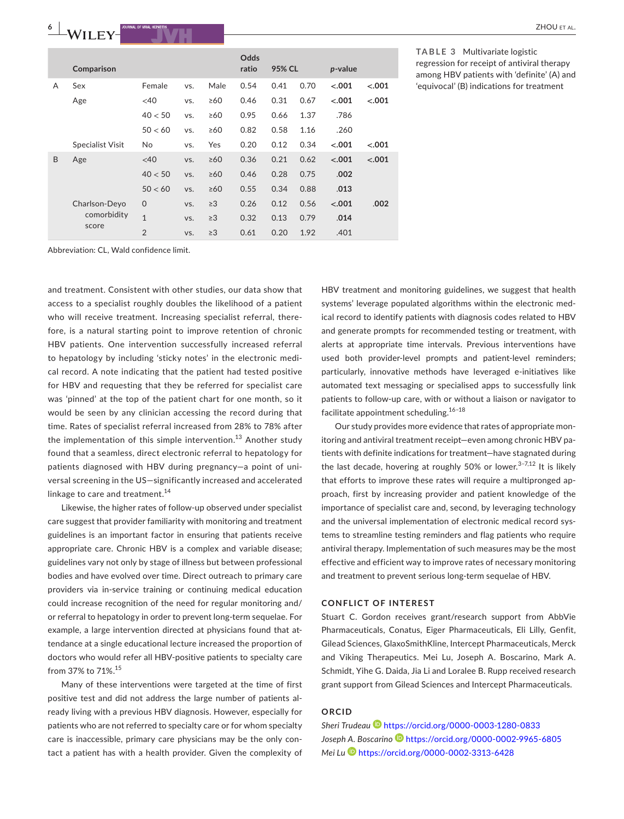|   | Comparison              |                |     |           | Odds<br>ratio | 95% CL |      | p-value |         |
|---|-------------------------|----------------|-----|-----------|---------------|--------|------|---------|---------|
| A | Sex                     | Female         | VS. | Male      | 0.54          | 0.41   | 0.70 | $-.001$ | $-.001$ |
|   | Age                     | <40            | VS. | $\geq 60$ | 0.46          | 0.31   | 0.67 | $-.001$ | $-.001$ |
|   |                         | 40 < 50        | VS. | $\geq 60$ | 0.95          | 0.66   | 1.37 | .786    |         |
|   |                         | 50 < 60        | VS. | $\geq 60$ | 0.82          | 0.58   | 1.16 | .260    |         |
|   | <b>Specialist Visit</b> | No             | VS. | Yes       | 0.20          | 0.12   | 0.34 | $-.001$ | $-.001$ |
| B | Age                     | <40            | VS. | $\geq 60$ | 0.36          | 0.21   | 0.62 | $-.001$ | $-.001$ |
|   |                         | 40 < 50        | VS. | $\geq 60$ | 0.46          | 0.28   | 0.75 | .002    |         |
|   |                         | 50 < 60        | VS. | $\geq 60$ | 0.55          | 0.34   | 0.88 | .013    |         |
|   | Charlson-Deyo           | $\Omega$       | VS. | $\geq$ 3  | 0.26          | 0.12   | 0.56 | $-.001$ | .002    |
|   | comorbidity             | $\mathbf{1}$   | VS. | $\geq$ 3  | 0.32          | 0.13   | 0.79 | .014    |         |
|   | score                   | $\overline{2}$ | VS. | $\geq$ 3  | 0.61          | 0.20   | 1.92 | .401    |         |

#### **TABLE 3** Multivariate logistic regression for receipt of antiviral therapy among HBV patients with 'definite' (A) and 'equivocal' (B) indications for treatment

Abbreviation: CL, Wald confidence limit.

and treatment. Consistent with other studies, our data show that access to a specialist roughly doubles the likelihood of a patient who will receive treatment. Increasing specialist referral, therefore, is a natural starting point to improve retention of chronic HBV patients. One intervention successfully increased referral to hepatology by including 'sticky notes' in the electronic medical record. A note indicating that the patient had tested positive for HBV and requesting that they be referred for specialist care was 'pinned' at the top of the patient chart for one month, so it would be seen by any clinician accessing the record during that time. Rates of specialist referral increased from 28% to 78% after the implementation of this simple intervention.<sup>13</sup> Another study found that a seamless, direct electronic referral to hepatology for patients diagnosed with HBV during pregnancy—a point of universal screening in the US—significantly increased and accelerated linkage to care and treatment.<sup>14</sup>

Likewise, the higher rates of follow-up observed under specialist care suggest that provider familiarity with monitoring and treatment guidelines is an important factor in ensuring that patients receive appropriate care. Chronic HBV is a complex and variable disease; guidelines vary not only by stage of illness but between professional bodies and have evolved over time. Direct outreach to primary care providers via in-service training or continuing medical education could increase recognition of the need for regular monitoring and/ or referral to hepatology in order to prevent long-term sequelae. For example, a large intervention directed at physicians found that attendance at a single educational lecture increased the proportion of doctors who would refer all HBV-positive patients to specialty care from 37% to 71%.<sup>15</sup>

Many of these interventions were targeted at the time of first positive test and did not address the large number of patients already living with a previous HBV diagnosis. However, especially for patients who are not referred to specialty care or for whom specialty care is inaccessible, primary care physicians may be the only contact a patient has with a health provider. Given the complexity of

HBV treatment and monitoring guidelines, we suggest that health systems' leverage populated algorithms within the electronic medical record to identify patients with diagnosis codes related to HBV and generate prompts for recommended testing or treatment, with alerts at appropriate time intervals. Previous interventions have used both provider-level prompts and patient-level reminders; particularly, innovative methods have leveraged e-initiatives like automated text messaging or specialised apps to successfully link patients to follow-up care, with or without a liaison or navigator to facilitate appointment scheduling.16–18

Our study provides more evidence that rates of appropriate monitoring and antiviral treatment receipt—even among chronic HBV patients with definite indications for treatment—have stagnated during the last decade, hovering at roughly 50% or lower.<sup>3-7,12</sup> It is likely that efforts to improve these rates will require a multipronged approach, first by increasing provider and patient knowledge of the importance of specialist care and, second, by leveraging technology and the universal implementation of electronic medical record systems to streamline testing reminders and flag patients who require antiviral therapy. Implementation of such measures may be the most effective and efficient way to improve rates of necessary monitoring and treatment to prevent serious long-term sequelae of HBV.

#### **CONFLICT OF INTEREST**

Stuart C. Gordon receives grant/research support from AbbVie Pharmaceuticals, Conatus, Eiger Pharmaceuticals, Eli Lilly, Genfit, Gilead Sciences, GlaxoSmithKline, Intercept Pharmaceuticals, Merck and Viking Therapeutics. Mei Lu, Joseph A. Boscarino, Mark A. Schmidt, Yihe G. Daida, Jia Li and Loralee B. Rupp received research grant support from Gilead Sciences and Intercept Pharmaceuticals.

#### **ORCID**

*Sheri Trudeau* <https://orcid.org/0000-0003-1280-0833> *Joseph A. Boscarino* <https://orcid.org/0000-0002-9965-6805> *Mei Lu* <https://orcid.org/0000-0002-3313-6428>